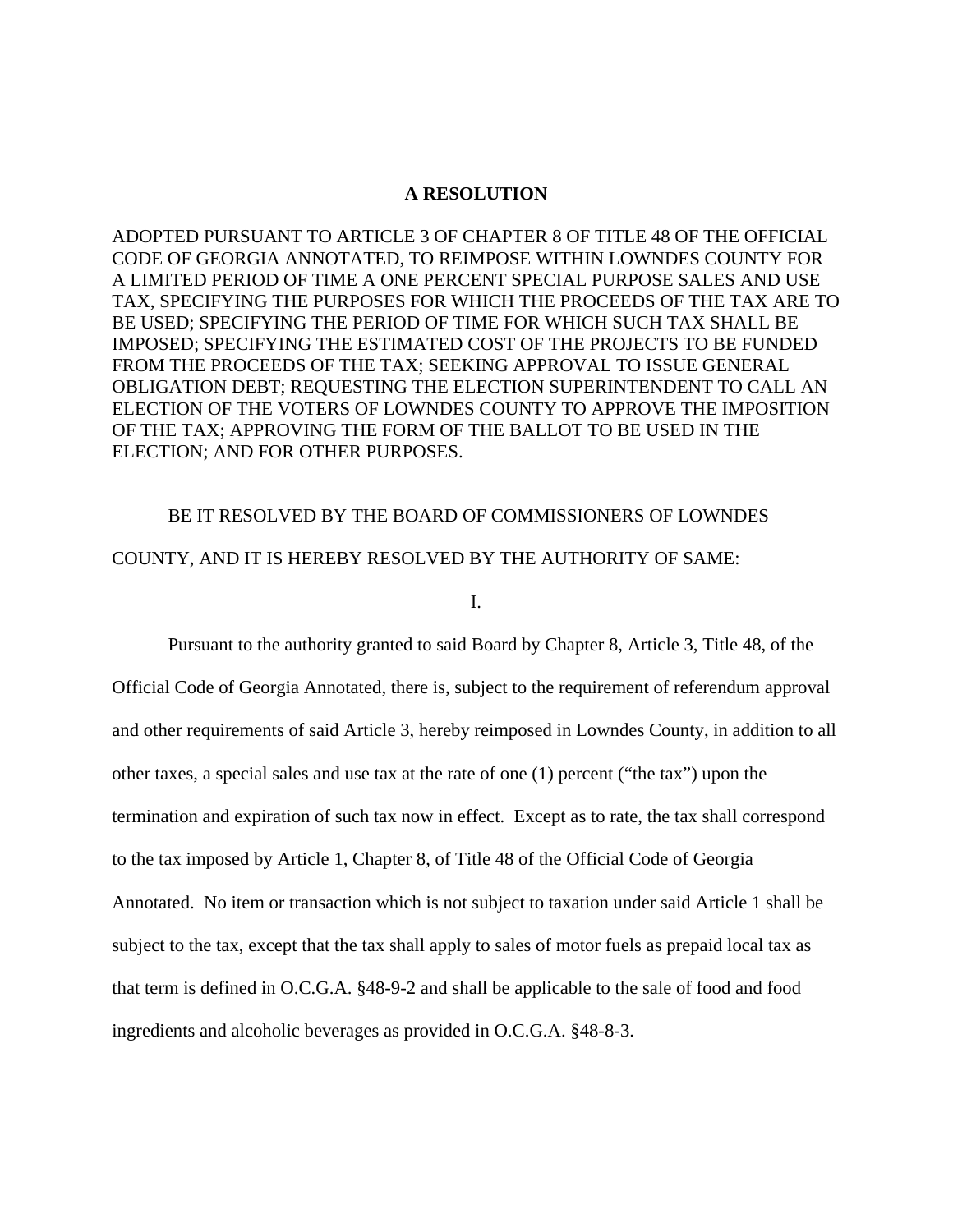# **A RESOLUTION**

ADOPTED PURSUANT TO ARTICLE 3 OF CHAPTER 8 OF TITLE 48 OF THE OFFICIAL CODE OF GEORGIA ANNOTATED, TO REIMPOSE WITHIN LOWNDES COUNTY FOR A LIMITED PERIOD OF TIME A ONE PERCENT SPECIAL PURPOSE SALES AND USE TAX, SPECIFYING THE PURPOSES FOR WHICH THE PROCEEDS OF THE TAX ARE TO BE USED; SPECIFYING THE PERIOD OF TIME FOR WHICH SUCH TAX SHALL BE IMPOSED; SPECIFYING THE ESTIMATED COST OF THE PROJECTS TO BE FUNDED FROM THE PROCEEDS OF THE TAX; SEEKING APPROVAL TO ISSUE GENERAL OBLIGATION DEBT; REQUESTING THE ELECTION SUPERINTENDENT TO CALL AN ELECTION OF THE VOTERS OF LOWNDES COUNTY TO APPROVE THE IMPOSITION OF THE TAX; APPROVING THE FORM OF THE BALLOT TO BE USED IN THE ELECTION; AND FOR OTHER PURPOSES.

# BE IT RESOLVED BY THE BOARD OF COMMISSIONERS OF LOWNDES COUNTY, AND IT IS HEREBY RESOLVED BY THE AUTHORITY OF SAME:

# I.

Pursuant to the authority granted to said Board by Chapter 8, Article 3, Title 48, of the Official Code of Georgia Annotated, there is, subject to the requirement of referendum approval and other requirements of said Article 3, hereby reimposed in Lowndes County, in addition to all other taxes, a special sales and use tax at the rate of one (1) percent ("the tax") upon the termination and expiration of such tax now in effect. Except as to rate, the tax shall correspond to the tax imposed by Article 1, Chapter 8, of Title 48 of the Official Code of Georgia Annotated. No item or transaction which is not subject to taxation under said Article 1 shall be subject to the tax, except that the tax shall apply to sales of motor fuels as prepaid local tax as that term is defined in O.C.G.A. §48-9-2 and shall be applicable to the sale of food and food ingredients and alcoholic beverages as provided in O.C.G.A. §48-8-3.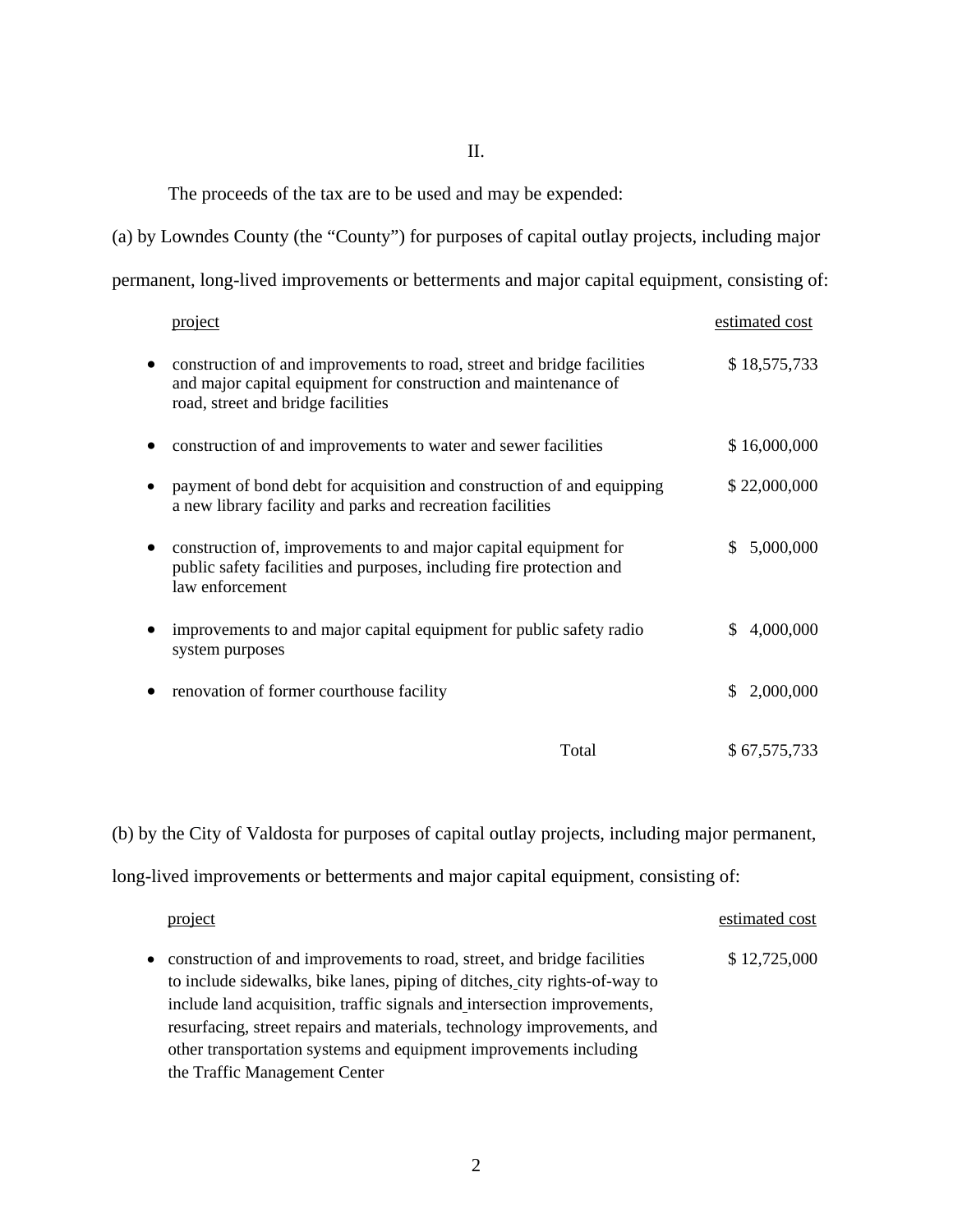# II.

The proceeds of the tax are to be used and may be expended:

(a) by Lowndes County (the "County") for purposes of capital outlay projects, including major permanent, long-lived improvements or betterments and major capital equipment, consisting of:

| project                                                                                                                                                                         | estimated cost  |
|---------------------------------------------------------------------------------------------------------------------------------------------------------------------------------|-----------------|
| construction of and improvements to road, street and bridge facilities<br>and major capital equipment for construction and maintenance of<br>road, street and bridge facilities | \$18,575,733    |
| construction of and improvements to water and sewer facilities                                                                                                                  | \$16,000,000    |
| payment of bond debt for acquisition and construction of and equipping<br>a new library facility and parks and recreation facilities                                            | \$22,000,000    |
| construction of, improvements to and major capital equipment for<br>public safety facilities and purposes, including fire protection and<br>law enforcement                     | 5,000,000<br>\$ |
| improvements to and major capital equipment for public safety radio<br>system purposes                                                                                          | 4,000,000<br>S. |
| renovation of former courthouse facility                                                                                                                                        | \$2,000,000     |
| Total                                                                                                                                                                           | \$67,575,733    |

(b) by the City of Valdosta for purposes of capital outlay projects, including major permanent,

long-lived improvements or betterments and major capital equipment, consisting of:

|           | project                                                                                                                                                                                                                                                                                                                                                                           | estimated cost |
|-----------|-----------------------------------------------------------------------------------------------------------------------------------------------------------------------------------------------------------------------------------------------------------------------------------------------------------------------------------------------------------------------------------|----------------|
| $\bullet$ | construction of and improvements to road, street, and bridge facilities<br>to include sidewalks, bike lanes, piping of ditches, city rights-of-way to<br>include land acquisition, traffic signals and intersection improvements,<br>resurfacing, street repairs and materials, technology improvements, and<br>other transportation systems and equipment improvements including | \$12,725,000   |
|           | the Traffic Management Center                                                                                                                                                                                                                                                                                                                                                     |                |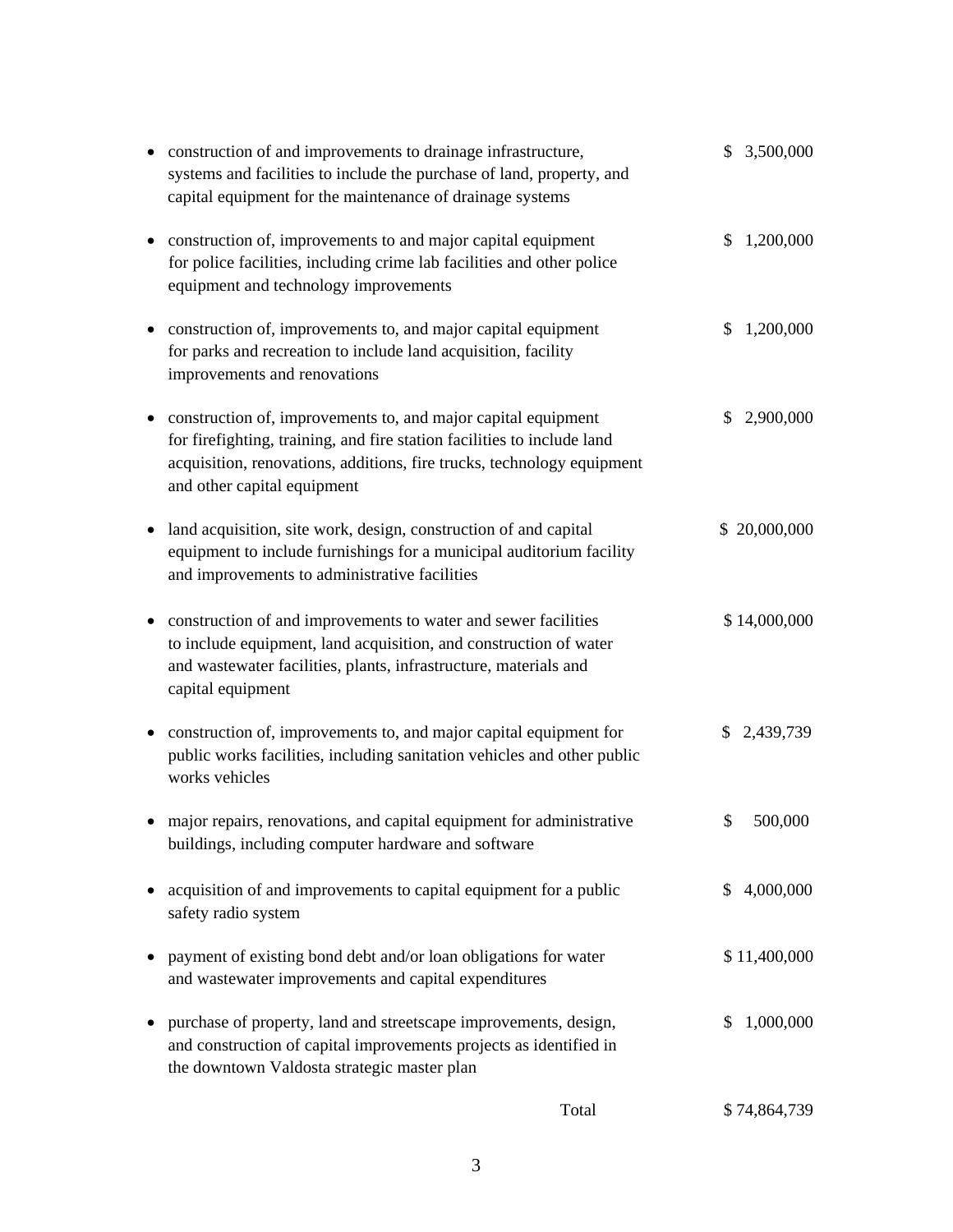|   | construction of and improvements to drainage infrastructure,<br>systems and facilities to include the purchase of land, property, and<br>capital equipment for the maintenance of drainage systems                                                | \$<br>3,500,000 |
|---|---------------------------------------------------------------------------------------------------------------------------------------------------------------------------------------------------------------------------------------------------|-----------------|
| ٠ | construction of, improvements to and major capital equipment<br>for police facilities, including crime lab facilities and other police<br>equipment and technology improvements                                                                   | \$<br>1,200,000 |
|   | construction of, improvements to, and major capital equipment<br>for parks and recreation to include land acquisition, facility<br>improvements and renovations                                                                                   | \$<br>1,200,000 |
| ٠ | construction of, improvements to, and major capital equipment<br>for firefighting, training, and fire station facilities to include land<br>acquisition, renovations, additions, fire trucks, technology equipment<br>and other capital equipment | \$<br>2,900,000 |
| ٠ | land acquisition, site work, design, construction of and capital<br>equipment to include furnishings for a municipal auditorium facility<br>and improvements to administrative facilities                                                         | \$20,000,000    |
|   | construction of and improvements to water and sewer facilities<br>to include equipment, land acquisition, and construction of water<br>and wastewater facilities, plants, infrastructure, materials and<br>capital equipment                      | \$14,000,000    |
|   | construction of, improvements to, and major capital equipment for<br>public works facilities, including sanitation vehicles and other public<br>works vehicles                                                                                    | \$<br>2,439,739 |
|   | major repairs, renovations, and capital equipment for administrative<br>buildings, including computer hardware and software                                                                                                                       | \$<br>500,000   |
|   | acquisition of and improvements to capital equipment for a public<br>safety radio system                                                                                                                                                          | \$<br>4,000,000 |
|   | payment of existing bond debt and/or loan obligations for water<br>and wastewater improvements and capital expenditures                                                                                                                           | \$11,400,000    |
|   | purchase of property, land and streetscape improvements, design,<br>and construction of capital improvements projects as identified in<br>the downtown Valdosta strategic master plan                                                             | \$<br>1,000,000 |
|   | Total                                                                                                                                                                                                                                             | \$74,864,739    |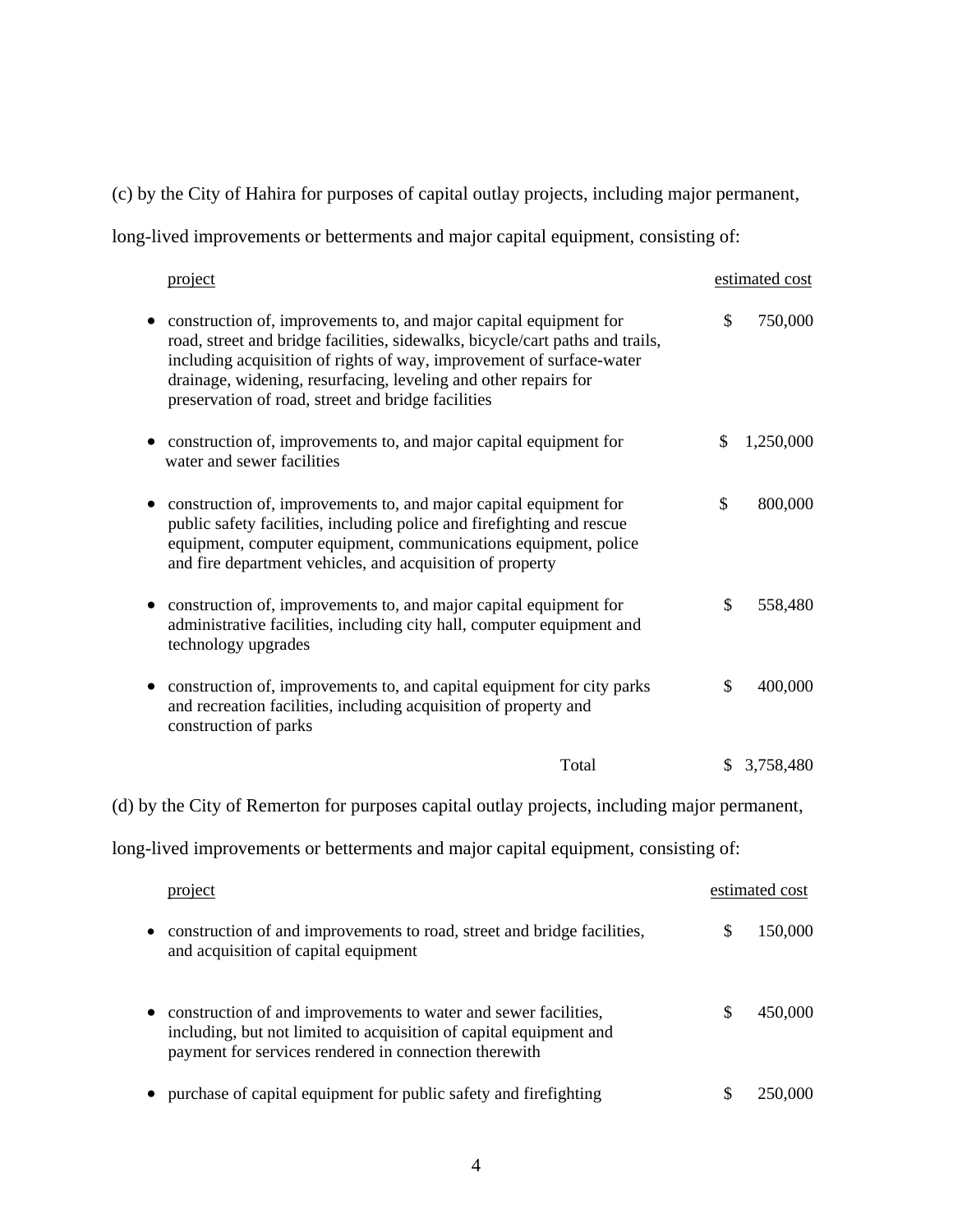(c) by the City of Hahira for purposes of capital outlay projects, including major permanent,

long-lived improvements or betterments and major capital equipment, consisting of:

|   | project                                                                                                                                                                                                                                                                                                                                             | estimated cost  |
|---|-----------------------------------------------------------------------------------------------------------------------------------------------------------------------------------------------------------------------------------------------------------------------------------------------------------------------------------------------------|-----------------|
|   | construction of, improvements to, and major capital equipment for<br>road, street and bridge facilities, sidewalks, bicycle/cart paths and trails,<br>including acquisition of rights of way, improvement of surface-water<br>drainage, widening, resurfacing, leveling and other repairs for<br>preservation of road, street and bridge facilities | \$<br>750,000   |
|   | construction of, improvements to, and major capital equipment for<br>water and sewer facilities                                                                                                                                                                                                                                                     | \$<br>1,250,000 |
|   | construction of, improvements to, and major capital equipment for<br>public safety facilities, including police and firefighting and rescue<br>equipment, computer equipment, communications equipment, police<br>and fire department vehicles, and acquisition of property                                                                         | \$<br>800,000   |
|   | construction of, improvements to, and major capital equipment for<br>administrative facilities, including city hall, computer equipment and<br>technology upgrades                                                                                                                                                                                  | \$<br>558,480   |
|   | construction of, improvements to, and capital equipment for city parks<br>and recreation facilities, including acquisition of property and<br>construction of parks                                                                                                                                                                                 | \$<br>400,000   |
|   | Total                                                                                                                                                                                                                                                                                                                                               | \$3,758,480     |
|   | (d) by the City of Remerton for purposes capital outlay projects, including major permanent,                                                                                                                                                                                                                                                        |                 |
|   | long-lived improvements or betterments and major capital equipment, consisting of:                                                                                                                                                                                                                                                                  |                 |
|   | project                                                                                                                                                                                                                                                                                                                                             | estimated cost  |
| ٠ | construction of and improvements to road, street and bridge facilities,<br>and acquisition of capital equipment                                                                                                                                                                                                                                     | \$<br>150,000   |
|   | construction of and improvements to water and sewer facilities,<br>including, but not limited to acquisition of capital equipment and<br>payment for services rendered in connection therewith                                                                                                                                                      | \$<br>450,000   |
|   | purchase of capital equipment for public safety and firefighting                                                                                                                                                                                                                                                                                    | \$<br>250,000   |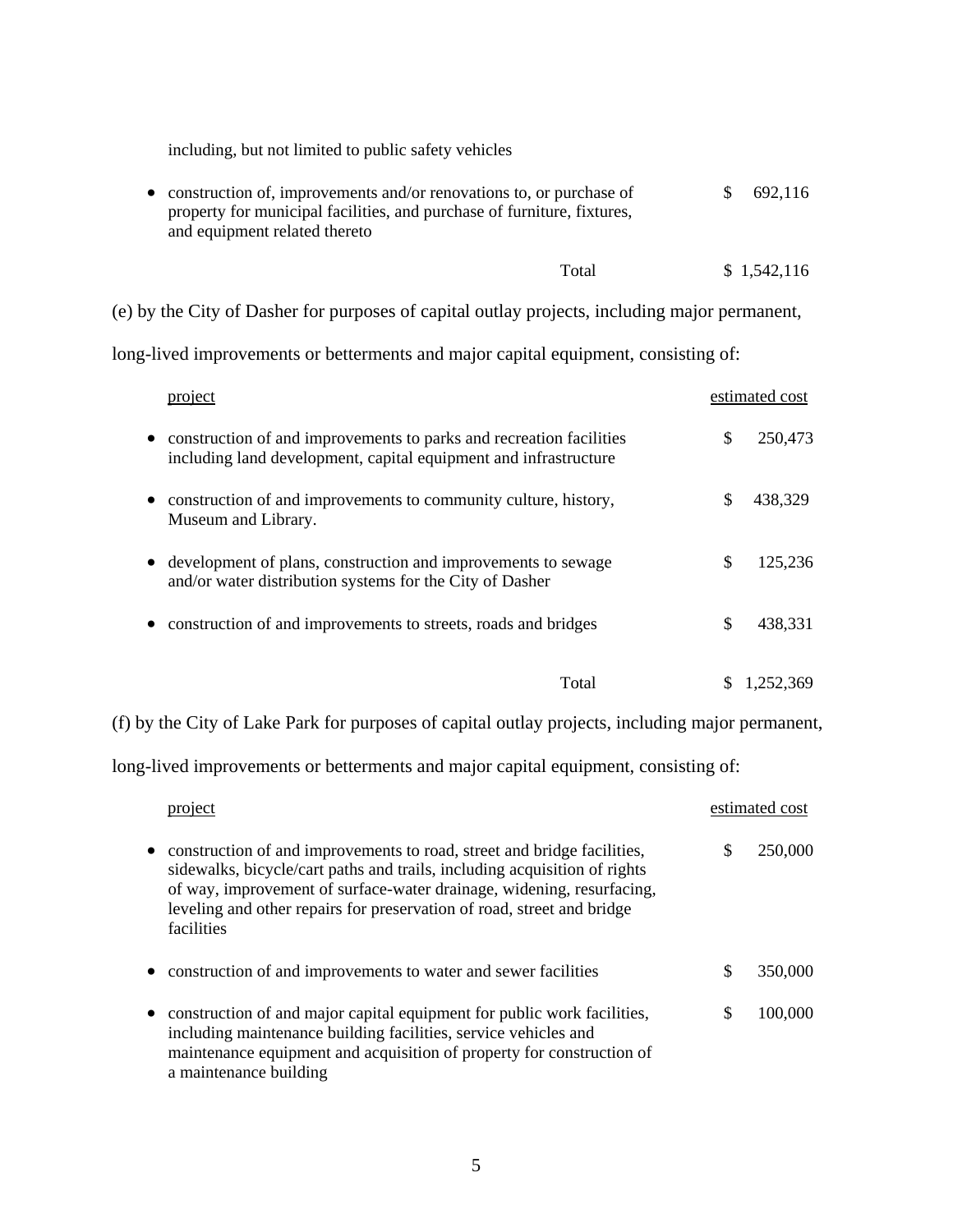including, but not limited to public safety vehicles

| • construction of, improvements and/or renovations to, or purchase of   | \$692,116 |
|-------------------------------------------------------------------------|-----------|
| property for municipal facilities, and purchase of furniture, fixtures, |           |
| and equipment related thereto                                           |           |

| Total | \$1,542,116 |
|-------|-------------|
|-------|-------------|

(e) by the City of Dasher for purposes of capital outlay projects, including major permanent,

long-lived improvements or betterments and major capital equipment, consisting of:

| project                                                                                                                                              |    | estimated cost |
|------------------------------------------------------------------------------------------------------------------------------------------------------|----|----------------|
| construction of and improvements to parks and recreation facilities<br>$\bullet$<br>including land development, capital equipment and infrastructure | S  | 250,473        |
| construction of and improvements to community culture, history,<br>Museum and Library.                                                               |    | 438,329        |
| development of plans, construction and improvements to sewage<br>$\bullet$<br>and/or water distribution systems for the City of Dasher               | \$ | 125,236        |
| construction of and improvements to streets, roads and bridges                                                                                       | S  | 438,331        |
| Total                                                                                                                                                |    | 1.252.369      |

(f) by the City of Lake Park for purposes of capital outlay projects, including major permanent,

long-lived improvements or betterments and major capital equipment, consisting of:

| project                                                                                                                                                                                                                                                                                                                            |   | estimated cost |
|------------------------------------------------------------------------------------------------------------------------------------------------------------------------------------------------------------------------------------------------------------------------------------------------------------------------------------|---|----------------|
| construction of and improvements to road, street and bridge facilities,<br>$\bullet$<br>sidewalks, bicycle/cart paths and trails, including acquisition of rights<br>of way, improvement of surface-water drainage, widening, resurfacing,<br>leveling and other repairs for preservation of road, street and bridge<br>facilities |   | 250,000        |
| construction of and improvements to water and sewer facilities                                                                                                                                                                                                                                                                     | S | 350,000        |
| construction of and major capital equipment for public work facilities,<br>$\bullet$<br>including maintenance building facilities, service vehicles and<br>maintenance equipment and acquisition of property for construction of<br>a maintenance building                                                                         | S | 100,000        |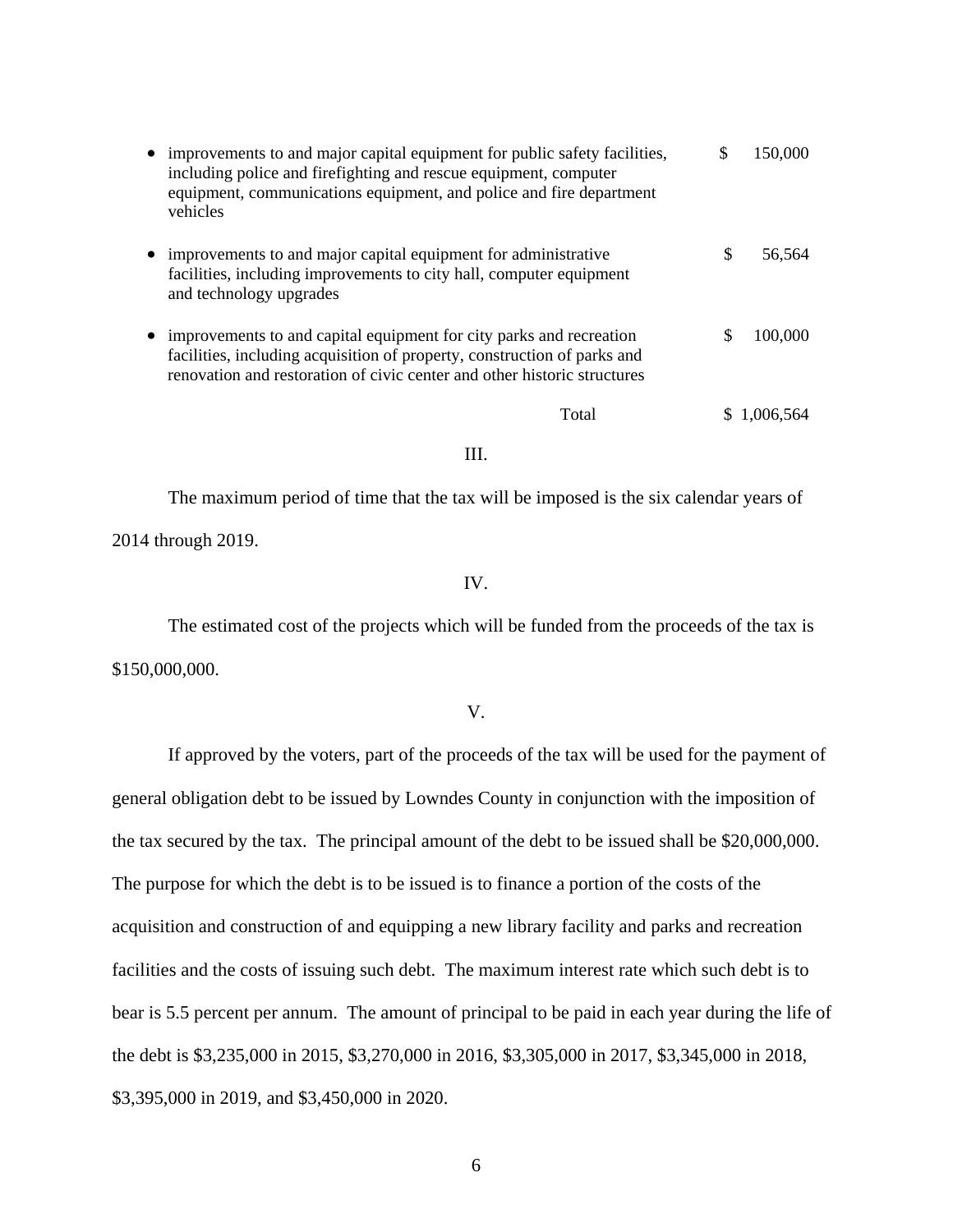| improvements to and major capital equipment for public safety facilities,<br>including police and firefighting and rescue equipment, computer<br>equipment, communications equipment, and police and fire department<br>vehicles | S  | 150,000   |
|----------------------------------------------------------------------------------------------------------------------------------------------------------------------------------------------------------------------------------|----|-----------|
| improvements to and major capital equipment for administrative<br>facilities, including improvements to city hall, computer equipment<br>and technology upgrades                                                                 | \$ | 56,564    |
| improvements to and capital equipment for city parks and recreation<br>facilities, including acquisition of property, construction of parks and<br>renovation and restoration of civic center and other historic structures      | \$ | 100,000   |
| Total                                                                                                                                                                                                                            |    | 1,006,564 |

# III.

 The maximum period of time that the tax will be imposed is the six calendar years of 2014 through 2019.

# IV.

 The estimated cost of the projects which will be funded from the proceeds of the tax is \$150,000,000.

V.

 If approved by the voters, part of the proceeds of the tax will be used for the payment of general obligation debt to be issued by Lowndes County in conjunction with the imposition of the tax secured by the tax. The principal amount of the debt to be issued shall be \$20,000,000. The purpose for which the debt is to be issued is to finance a portion of the costs of the acquisition and construction of and equipping a new library facility and parks and recreation facilities and the costs of issuing such debt. The maximum interest rate which such debt is to bear is 5.5 percent per annum. The amount of principal to be paid in each year during the life of the debt is \$3,235,000 in 2015, \$3,270,000 in 2016, \$3,305,000 in 2017, \$3,345,000 in 2018, \$3,395,000 in 2019, and \$3,450,000 in 2020.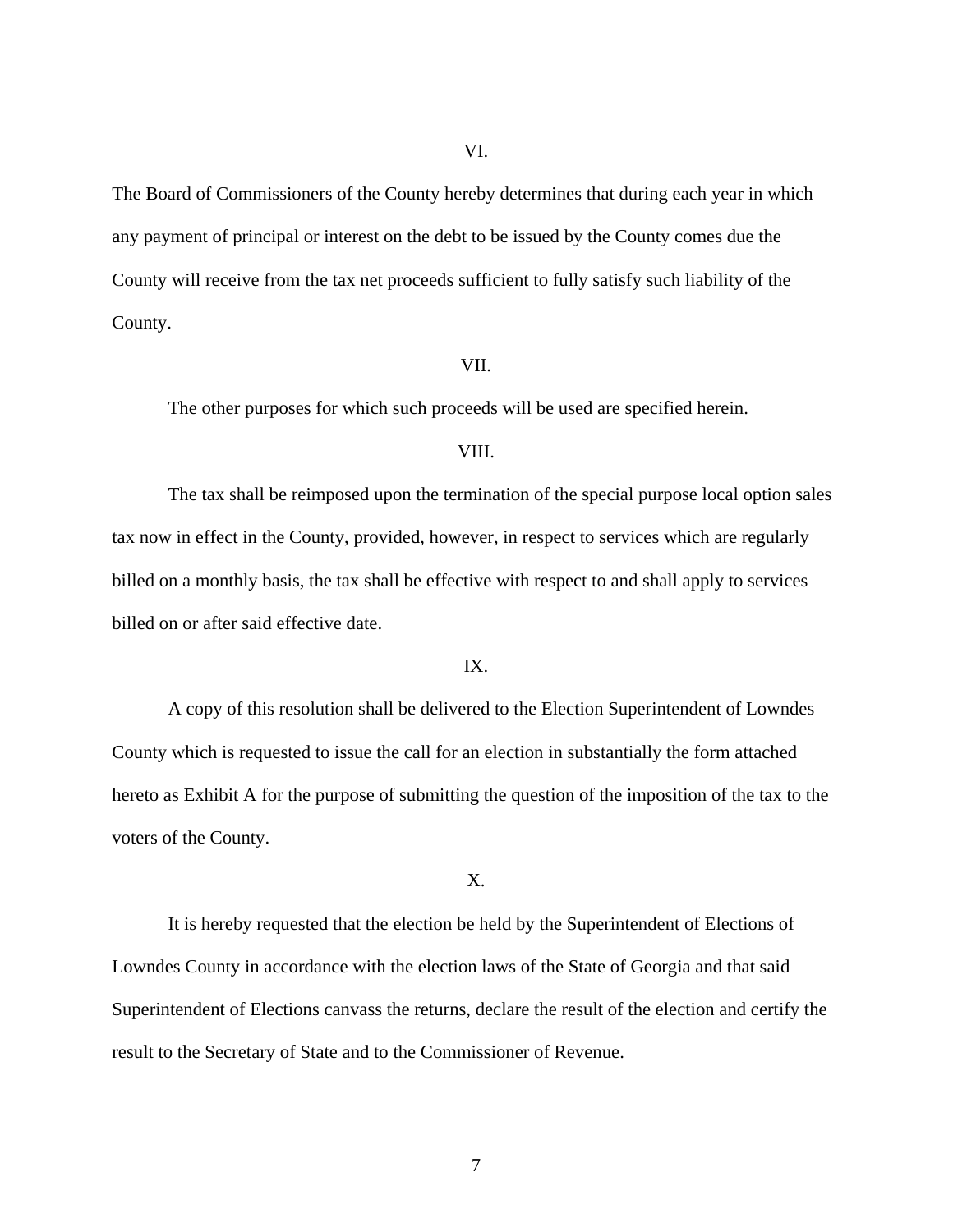VI.

The Board of Commissioners of the County hereby determines that during each year in which any payment of principal or interest on the debt to be issued by the County comes due the County will receive from the tax net proceeds sufficient to fully satisfy such liability of the County.

#### VII.

The other purposes for which such proceeds will be used are specified herein.

#### VIII.

The tax shall be reimposed upon the termination of the special purpose local option sales tax now in effect in the County, provided, however, in respect to services which are regularly billed on a monthly basis, the tax shall be effective with respect to and shall apply to services billed on or after said effective date.

# IX.

A copy of this resolution shall be delivered to the Election Superintendent of Lowndes County which is requested to issue the call for an election in substantially the form attached hereto as Exhibit A for the purpose of submitting the question of the imposition of the tax to the voters of the County.

X.

It is hereby requested that the election be held by the Superintendent of Elections of Lowndes County in accordance with the election laws of the State of Georgia and that said Superintendent of Elections canvass the returns, declare the result of the election and certify the result to the Secretary of State and to the Commissioner of Revenue.

7